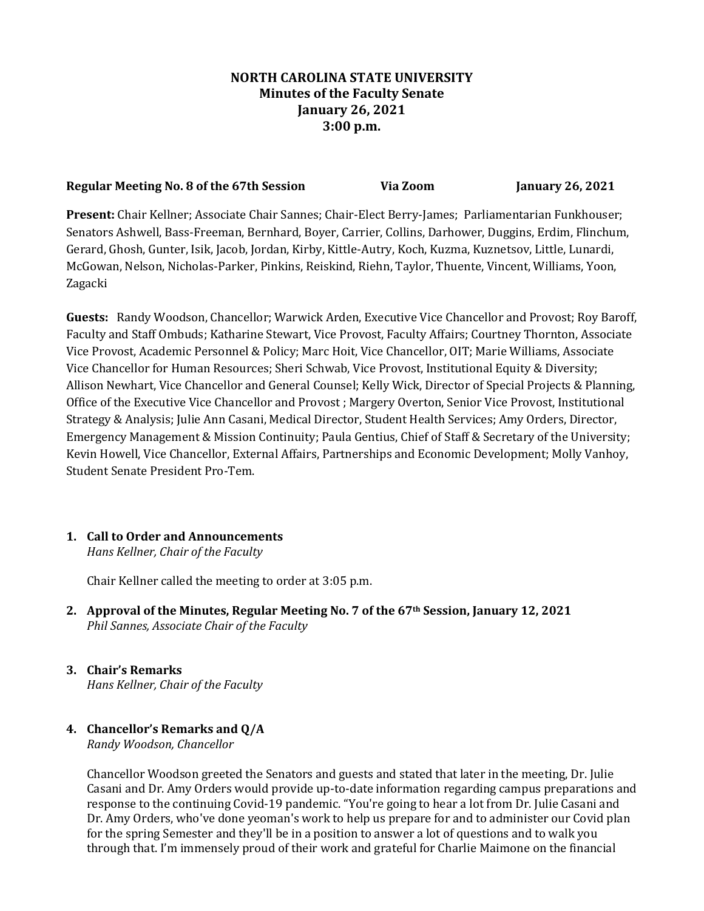# **NORTH CAROLINA STATE UNIVERSITY Minutes of the Faculty Senate January 26, 2021 3:00 p.m.**

### **Regular Meeting No. 8 of the 67th Session Via Zoom January 26, 2021**

**Present:** Chair Kellner; Associate Chair Sannes; Chair-Elect Berry-James; Parliamentarian Funkhouser; Senators Ashwell, Bass-Freeman, Bernhard, Boyer, Carrier, Collins, Darhower, Duggins, Erdim, Flinchum, Gerard, Ghosh, Gunter, Isik, Jacob, Jordan, Kirby, Kittle-Autry, Koch, Kuzma, Kuznetsov, Little, Lunardi, McGowan, Nelson, Nicholas-Parker, Pinkins, Reiskind, Riehn, Taylor, Thuente, Vincent, Williams, Yoon, Zagacki

**Guests:** Randy Woodson, Chancellor; Warwick Arden, Executive Vice Chancellor and Provost; Roy Baroff, Faculty and Staff Ombuds; Katharine Stewart, Vice Provost, Faculty Affairs; Courtney Thornton, Associate Vice Provost, Academic Personnel & Policy; Marc Hoit, Vice Chancellor, OIT; Marie Williams, Associate Vice Chancellor for Human Resources; Sheri Schwab, Vice Provost, Institutional Equity & Diversity; Allison Newhart, Vice Chancellor and General Counsel; Kelly Wick, Director of Special Projects & Planning, Office of the Executive Vice Chancellor and Provost ; Margery Overton, Senior Vice Provost, Institutional Strategy & Analysis; Julie Ann Casani, Medical Director, Student Health Services; Amy Orders, Director, Emergency Management & Mission Continuity; Paula Gentius, Chief of Staff & Secretary of the University; Kevin Howell, Vice Chancellor, External Affairs, Partnerships and Economic Development; Molly Vanhoy, Student Senate President Pro-Tem.

# **1. Call to Order and Announcements**

*Hans Kellner, Chair of the Faculty*

Chair Kellner called the meeting to order at 3:05 p.m.

- **2. Approval of the Minutes, Regular Meeting No. 7 of the 67th Session, January 12, 2021** *Phil Sannes, Associate Chair of the Faculty*
- **3. Chair's Remarks** *Hans Kellner, Chair of the Faculty*
- **4. Chancellor's Remarks and Q/A** *Randy Woodson, Chancellor*

Chancellor Woodson greeted the Senators and guests and stated that later in the meeting, Dr. Julie Casani and Dr. Amy Orders would provide up-to-date information regarding campus preparations and response to the continuing Covid-19 pandemic. "You're going to hear a lot from Dr. Julie Casani and Dr. Amy Orders, who've done yeoman's work to help us prepare for and to administer our Covid plan for the spring Semester and they'll be in a position to answer a lot of questions and to walk you through that. I'm immensely proud of their work and grateful for Charlie Maimone on the financial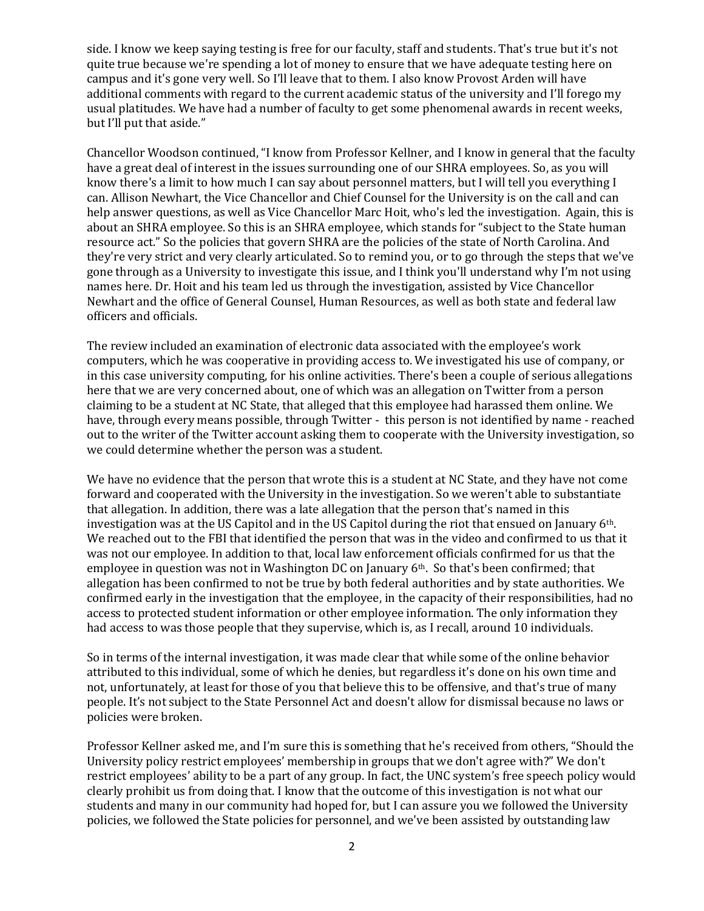side. I know we keep saying testing is free for our faculty, staff and students. That's true but it's not quite true because we're spending a lot of money to ensure that we have adequate testing here on campus and it's gone very well. So I'll leave that to them. I also know Provost Arden will have additional comments with regard to the current academic status of the university and I'll forego my usual platitudes. We have had a number of faculty to get some phenomenal awards in recent weeks, but I'll put that aside."

Chancellor Woodson continued, "I know from Professor Kellner, and I know in general that the faculty have a great deal of interest in the issues surrounding one of our SHRA employees. So, as you will know there's a limit to how much I can say about personnel matters, but I will tell you everything I can. Allison Newhart, the Vice Chancellor and Chief Counsel for the University is on the call and can help answer questions, as well as Vice Chancellor Marc Hoit, who's led the investigation. Again, this is about an SHRA employee. So this is an SHRA employee, which stands for "subject to the State human resource act." So the policies that govern SHRA are the policies of the state of North Carolina. And they're very strict and very clearly articulated. So to remind you, or to go through the steps that we've gone through as a University to investigate this issue, and I think you'll understand why I'm not using names here. Dr. Hoit and his team led us through the investigation, assisted by Vice Chancellor Newhart and the office of General Counsel, Human Resources, as well as both state and federal law officers and officials.

The review included an examination of electronic data associated with the employee's work computers, which he was cooperative in providing access to. We investigated his use of company, or in this case university computing, for his online activities. There's been a couple of serious allegations here that we are very concerned about, one of which was an allegation on Twitter from a person claiming to be a student at NC State, that alleged that this employee had harassed them online. We have, through every means possible, through Twitter - this person is not identified by name - reached out to the writer of the Twitter account asking them to cooperate with the University investigation, so we could determine whether the person was a student.

We have no evidence that the person that wrote this is a student at NC State, and they have not come forward and cooperated with the University in the investigation. So we weren't able to substantiate that allegation. In addition, there was a late allegation that the person that's named in this investigation was at the US Capitol and in the US Capitol during the riot that ensued on January 6th. We reached out to the FBI that identified the person that was in the video and confirmed to us that it was not our employee. In addition to that, local law enforcement officials confirmed for us that the employee in question was not in Washington DC on January 6th. So that's been confirmed; that allegation has been confirmed to not be true by both federal authorities and by state authorities. We confirmed early in the investigation that the employee, in the capacity of their responsibilities, had no access to protected student information or other employee information. The only information they had access to was those people that they supervise, which is, as I recall, around 10 individuals.

So in terms of the internal investigation, it was made clear that while some of the online behavior attributed to this individual, some of which he denies, but regardless it's done on his own time and not, unfortunately, at least for those of you that believe this to be offensive, and that's true of many people. It's not subject to the State Personnel Act and doesn't allow for dismissal because no laws or policies were broken.

Professor Kellner asked me, and I'm sure this is something that he's received from others, "Should the University policy restrict employees' membership in groups that we don't agree with?" We don't restrict employees' ability to be a part of any group. In fact, the UNC system's free speech policy would clearly prohibit us from doing that. I know that the outcome of this investigation is not what our students and many in our community had hoped for, but I can assure you we followed the University policies, we followed the State policies for personnel, and we've been assisted by outstanding law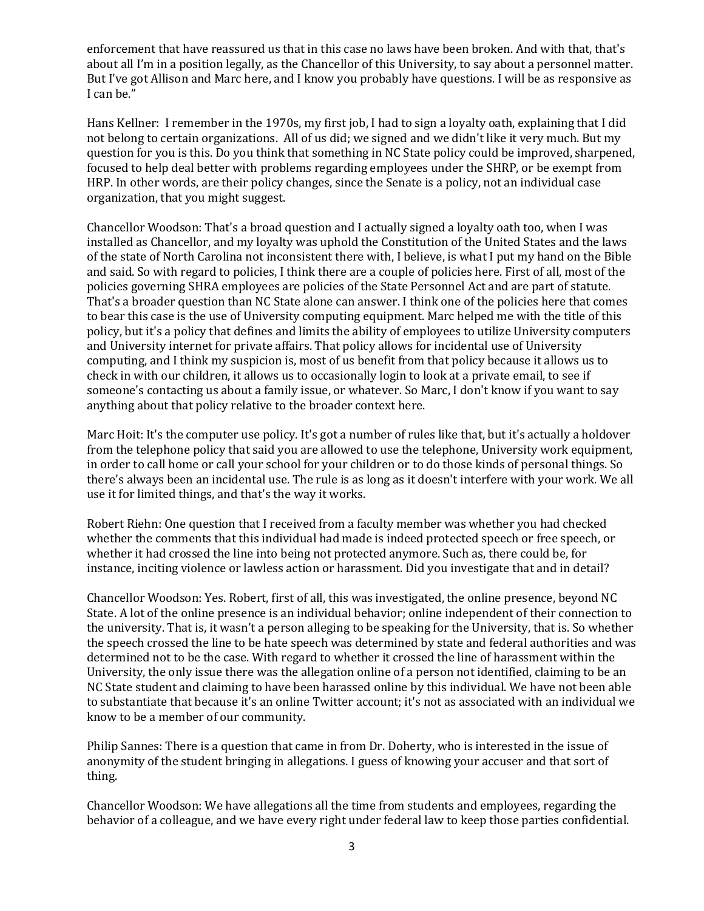enforcement that have reassured us that in this case no laws have been broken. And with that, that's about all I'm in a position legally, as the Chancellor of this University, to say about a personnel matter. But I've got Allison and Marc here, and I know you probably have questions. I will be as responsive as I can be."

Hans Kellner: I remember in the 1970s, my first job, I had to sign a loyalty oath, explaining that I did not belong to certain organizations. All of us did; we signed and we didn't like it very much. But my question for you is this. Do you think that something in NC State policy could be improved, sharpened, focused to help deal better with problems regarding employees under the SHRP, or be exempt from HRP. In other words, are their policy changes, since the Senate is a policy, not an individual case organization, that you might suggest.

Chancellor Woodson: That's a broad question and I actually signed a loyalty oath too, when I was installed as Chancellor, and my loyalty was uphold the Constitution of the United States and the laws of the state of North Carolina not inconsistent there with, I believe, is what I put my hand on the Bible and said. So with regard to policies, I think there are a couple of policies here. First of all, most of the policies governing SHRA employees are policies of the State Personnel Act and are part of statute. That's a broader question than NC State alone can answer. I think one of the policies here that comes to bear this case is the use of University computing equipment. Marc helped me with the title of this policy, but it's a policy that defines and limits the ability of employees to utilize University computers and University internet for private affairs. That policy allows for incidental use of University computing, and I think my suspicion is, most of us benefit from that policy because it allows us to check in with our children, it allows us to occasionally login to look at a private email, to see if someone's contacting us about a family issue, or whatever. So Marc, I don't know if you want to say anything about that policy relative to the broader context here.

Marc Hoit: It's the computer use policy. It's got a number of rules like that, but it's actually a holdover from the telephone policy that said you are allowed to use the telephone, University work equipment, in order to call home or call your school for your children or to do those kinds of personal things. So there's always been an incidental use. The rule is as long as it doesn't interfere with your work. We all use it for limited things, and that's the way it works.

Robert Riehn: One question that I received from a faculty member was whether you had checked whether the comments that this individual had made is indeed protected speech or free speech, or whether it had crossed the line into being not protected anymore. Such as, there could be, for instance, inciting violence or lawless action or harassment. Did you investigate that and in detail?

Chancellor Woodson: Yes. Robert, first of all, this was investigated, the online presence, beyond NC State. A lot of the online presence is an individual behavior; online independent of their connection to the university. That is, it wasn't a person alleging to be speaking for the University, that is. So whether the speech crossed the line to be hate speech was determined by state and federal authorities and was determined not to be the case. With regard to whether it crossed the line of harassment within the University, the only issue there was the allegation online of a person not identified, claiming to be an NC State student and claiming to have been harassed online by this individual. We have not been able to substantiate that because it's an online Twitter account; it's not as associated with an individual we know to be a member of our community.

Philip Sannes: There is a question that came in from Dr. Doherty, who is interested in the issue of anonymity of the student bringing in allegations. I guess of knowing your accuser and that sort of thing.

Chancellor Woodson: We have allegations all the time from students and employees, regarding the behavior of a colleague, and we have every right under federal law to keep those parties confidential.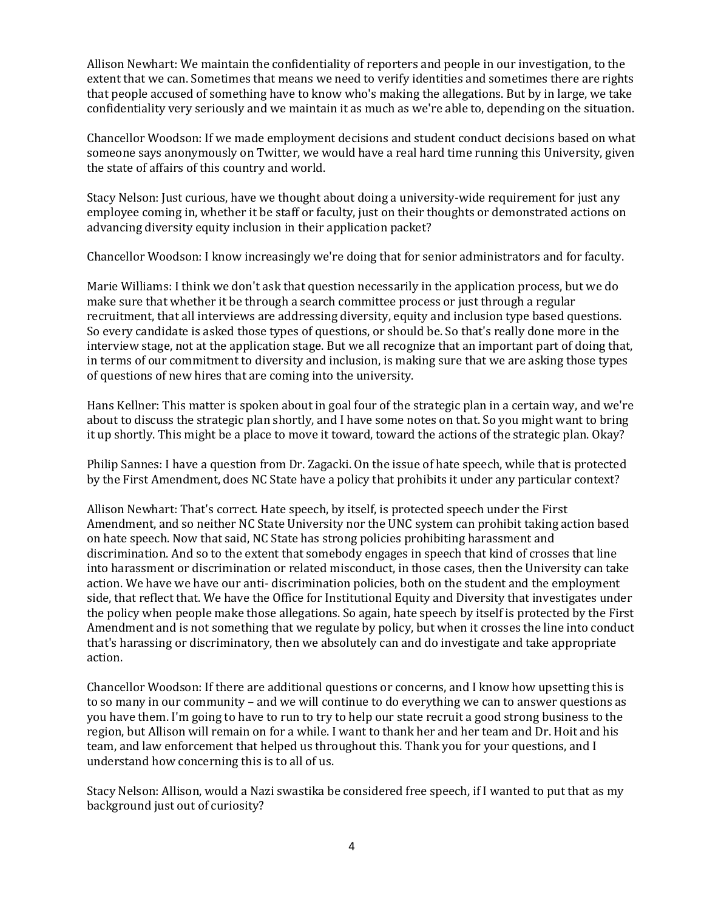Allison Newhart: We maintain the confidentiality of reporters and people in our investigation, to the extent that we can. Sometimes that means we need to verify identities and sometimes there are rights that people accused of something have to know who's making the allegations. But by in large, we take confidentiality very seriously and we maintain it as much as we're able to, depending on the situation.

Chancellor Woodson: If we made employment decisions and student conduct decisions based on what someone says anonymously on Twitter, we would have a real hard time running this University, given the state of affairs of this country and world.

Stacy Nelson: Just curious, have we thought about doing a university-wide requirement for just any employee coming in, whether it be staff or faculty, just on their thoughts or demonstrated actions on advancing diversity equity inclusion in their application packet?

Chancellor Woodson: I know increasingly we're doing that for senior administrators and for faculty.

Marie Williams: I think we don't ask that question necessarily in the application process, but we do make sure that whether it be through a search committee process or just through a regular recruitment, that all interviews are addressing diversity, equity and inclusion type based questions. So every candidate is asked those types of questions, or should be. So that's really done more in the interview stage, not at the application stage. But we all recognize that an important part of doing that, in terms of our commitment to diversity and inclusion, is making sure that we are asking those types of questions of new hires that are coming into the university.

Hans Kellner: This matter is spoken about in goal four of the strategic plan in a certain way, and we're about to discuss the strategic plan shortly, and I have some notes on that. So you might want to bring it up shortly. This might be a place to move it toward, toward the actions of the strategic plan. Okay?

Philip Sannes: I have a question from Dr. Zagacki. On the issue of hate speech, while that is protected by the First Amendment, does NC State have a policy that prohibits it under any particular context?

Allison Newhart: That's correct. Hate speech, by itself, is protected speech under the First Amendment, and so neither NC State University nor the UNC system can prohibit taking action based on hate speech. Now that said, NC State has strong policies prohibiting harassment and discrimination. And so to the extent that somebody engages in speech that kind of crosses that line into harassment or discrimination or related misconduct, in those cases, then the University can take action. We have we have our anti- discrimination policies, both on the student and the employment side, that reflect that. We have the Office for Institutional Equity and Diversity that investigates under the policy when people make those allegations. So again, hate speech by itself is protected by the First Amendment and is not something that we regulate by policy, but when it crosses the line into conduct that's harassing or discriminatory, then we absolutely can and do investigate and take appropriate action.

Chancellor Woodson: If there are additional questions or concerns, and I know how upsetting this is to so many in our community – and we will continue to do everything we can to answer questions as you have them. I'm going to have to run to try to help our state recruit a good strong business to the region, but Allison will remain on for a while. I want to thank her and her team and Dr. Hoit and his team, and law enforcement that helped us throughout this. Thank you for your questions, and I understand how concerning this is to all of us.

Stacy Nelson: Allison, would a Nazi swastika be considered free speech, if I wanted to put that as my background just out of curiosity?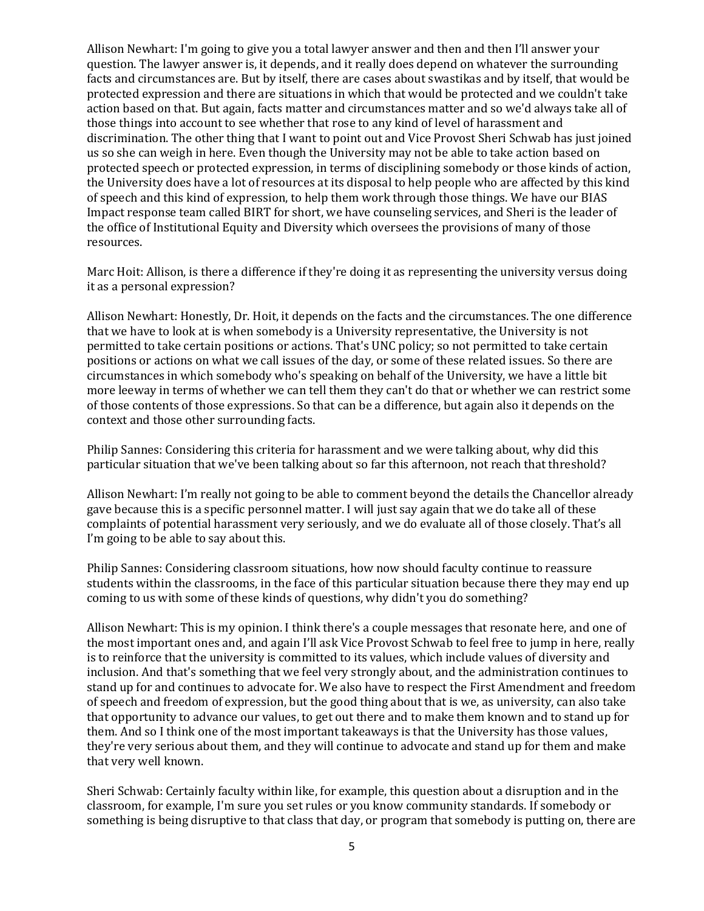Allison Newhart: I'm going to give you a total lawyer answer and then and then I'll answer your question. The lawyer answer is, it depends, and it really does depend on whatever the surrounding facts and circumstances are. But by itself, there are cases about swastikas and by itself, that would be protected expression and there are situations in which that would be protected and we couldn't take action based on that. But again, facts matter and circumstances matter and so we'd always take all of those things into account to see whether that rose to any kind of level of harassment and discrimination. The other thing that I want to point out and Vice Provost Sheri Schwab has just joined us so she can weigh in here. Even though the University may not be able to take action based on protected speech or protected expression, in terms of disciplining somebody or those kinds of action, the University does have a lot of resources at its disposal to help people who are affected by this kind of speech and this kind of expression, to help them work through those things. We have our BIAS Impact response team called BIRT for short, we have counseling services, and Sheri is the leader of the office of Institutional Equity and Diversity which oversees the provisions of many of those resources.

Marc Hoit: Allison, is there a difference if they're doing it as representing the university versus doing it as a personal expression?

Allison Newhart: Honestly, Dr. Hoit, it depends on the facts and the circumstances. The one difference that we have to look at is when somebody is a University representative, the University is not permitted to take certain positions or actions. That's UNC policy; so not permitted to take certain positions or actions on what we call issues of the day, or some of these related issues. So there are circumstances in which somebody who's speaking on behalf of the University, we have a little bit more leeway in terms of whether we can tell them they can't do that or whether we can restrict some of those contents of those expressions. So that can be a difference, but again also it depends on the context and those other surrounding facts.

Philip Sannes: Considering this criteria for harassment and we were talking about, why did this particular situation that we've been talking about so far this afternoon, not reach that threshold?

Allison Newhart: I'm really not going to be able to comment beyond the details the Chancellor already gave because this is a specific personnel matter. I will just say again that we do take all of these complaints of potential harassment very seriously, and we do evaluate all of those closely. That's all I'm going to be able to say about this.

Philip Sannes: Considering classroom situations, how now should faculty continue to reassure students within the classrooms, in the face of this particular situation because there they may end up coming to us with some of these kinds of questions, why didn't you do something?

Allison Newhart: This is my opinion. I think there's a couple messages that resonate here, and one of the most important ones and, and again I'll ask Vice Provost Schwab to feel free to jump in here, really is to reinforce that the university is committed to its values, which include values of diversity and inclusion. And that's something that we feel very strongly about, and the administration continues to stand up for and continues to advocate for. We also have to respect the First Amendment and freedom of speech and freedom of expression, but the good thing about that is we, as university, can also take that opportunity to advance our values, to get out there and to make them known and to stand up for them. And so I think one of the most important takeaways is that the University has those values, they're very serious about them, and they will continue to advocate and stand up for them and make that very well known.

Sheri Schwab: Certainly faculty within like, for example, this question about a disruption and in the classroom, for example, I'm sure you set rules or you know community standards. If somebody or something is being disruptive to that class that day, or program that somebody is putting on, there are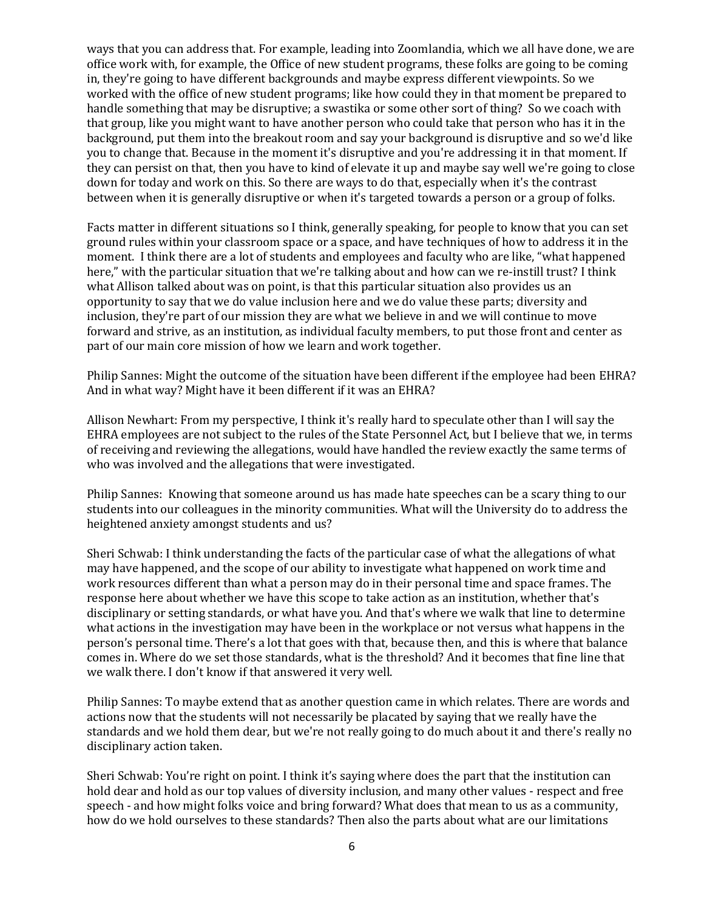ways that you can address that. For example, leading into Zoomlandia, which we all have done, we are office work with, for example, the Office of new student programs, these folks are going to be coming in, they're going to have different backgrounds and maybe express different viewpoints. So we worked with the office of new student programs; like how could they in that moment be prepared to handle something that may be disruptive; a swastika or some other sort of thing? So we coach with that group, like you might want to have another person who could take that person who has it in the background, put them into the breakout room and say your background is disruptive and so we'd like you to change that. Because in the moment it's disruptive and you're addressing it in that moment. If they can persist on that, then you have to kind of elevate it up and maybe say well we're going to close down for today and work on this. So there are ways to do that, especially when it's the contrast between when it is generally disruptive or when it's targeted towards a person or a group of folks.

Facts matter in different situations so I think, generally speaking, for people to know that you can set ground rules within your classroom space or a space, and have techniques of how to address it in the moment. I think there are a lot of students and employees and faculty who are like, "what happened here," with the particular situation that we're talking about and how can we re-instill trust? I think what Allison talked about was on point, is that this particular situation also provides us an opportunity to say that we do value inclusion here and we do value these parts; diversity and inclusion, they're part of our mission they are what we believe in and we will continue to move forward and strive, as an institution, as individual faculty members, to put those front and center as part of our main core mission of how we learn and work together.

Philip Sannes: Might the outcome of the situation have been different if the employee had been EHRA? And in what way? Might have it been different if it was an EHRA?

Allison Newhart: From my perspective, I think it's really hard to speculate other than I will say the EHRA employees are not subject to the rules of the State Personnel Act, but I believe that we, in terms of receiving and reviewing the allegations, would have handled the review exactly the same terms of who was involved and the allegations that were investigated.

Philip Sannes: Knowing that someone around us has made hate speeches can be a scary thing to our students into our colleagues in the minority communities. What will the University do to address the heightened anxiety amongst students and us?

Sheri Schwab: I think understanding the facts of the particular case of what the allegations of what may have happened, and the scope of our ability to investigate what happened on work time and work resources different than what a person may do in their personal time and space frames. The response here about whether we have this scope to take action as an institution, whether that's disciplinary or setting standards, or what have you. And that's where we walk that line to determine what actions in the investigation may have been in the workplace or not versus what happens in the person's personal time. There's a lot that goes with that, because then, and this is where that balance comes in. Where do we set those standards, what is the threshold? And it becomes that fine line that we walk there. I don't know if that answered it very well.

Philip Sannes: To maybe extend that as another question came in which relates. There are words and actions now that the students will not necessarily be placated by saying that we really have the standards and we hold them dear, but we're not really going to do much about it and there's really no disciplinary action taken.

Sheri Schwab: You're right on point. I think it's saying where does the part that the institution can hold dear and hold as our top values of diversity inclusion, and many other values - respect and free speech - and how might folks voice and bring forward? What does that mean to us as a community, how do we hold ourselves to these standards? Then also the parts about what are our limitations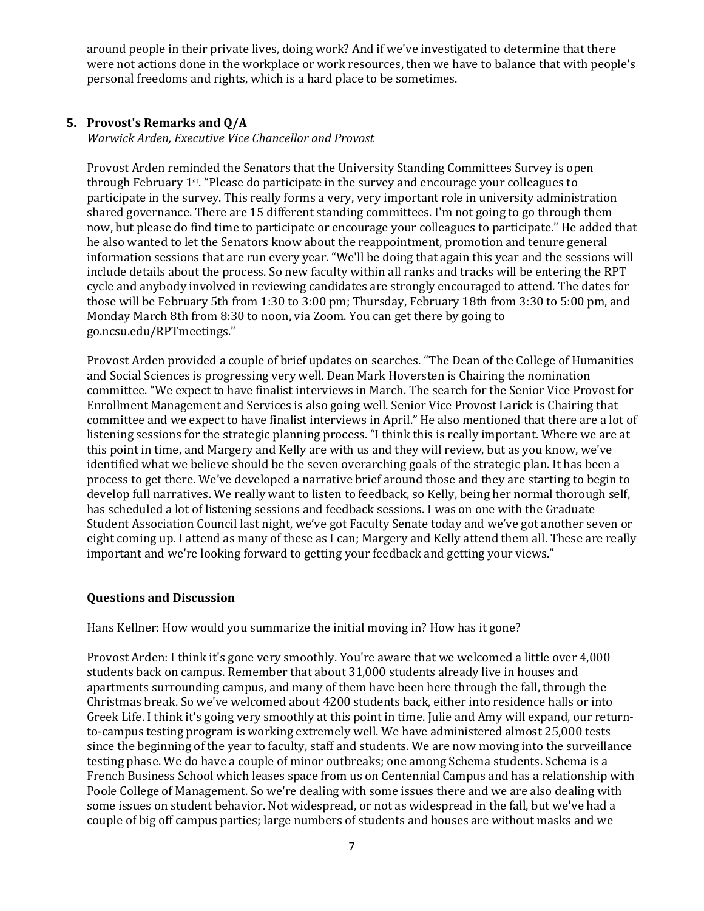around people in their private lives, doing work? And if we've investigated to determine that there were not actions done in the workplace or work resources, then we have to balance that with people's personal freedoms and rights, which is a hard place to be sometimes.

### **5. Provost's Remarks and Q/A**

*Warwick Arden, Executive Vice Chancellor and Provost*

Provost Arden reminded the Senators that the University Standing Committees Survey is open through February 1st. "Please do participate in the survey and encourage your colleagues to participate in the survey. This really forms a very, very important role in university administration shared governance. There are 15 different standing committees. I'm not going to go through them now, but please do find time to participate or encourage your colleagues to participate." He added that he also wanted to let the Senators know about the reappointment, promotion and tenure general information sessions that are run every year. "We'll be doing that again this year and the sessions will include details about the process. So new faculty within all ranks and tracks will be entering the RPT cycle and anybody involved in reviewing candidates are strongly encouraged to attend. The dates for those will be February 5th from 1:30 to 3:00 pm; Thursday, February 18th from 3:30 to 5:00 pm, and Monday March 8th from 8:30 to noon, via Zoom. You can get there by going to go.ncsu.edu/RPTmeetings."

Provost Arden provided a couple of brief updates on searches. "The Dean of the College of Humanities and Social Sciences is progressing very well. Dean Mark Hoversten is Chairing the nomination committee. "We expect to have finalist interviews in March. The search for the Senior Vice Provost for Enrollment Management and Services is also going well. Senior Vice Provost Larick is Chairing that committee and we expect to have finalist interviews in April." He also mentioned that there are a lot of listening sessions for the strategic planning process. "I think this is really important. Where we are at this point in time, and Margery and Kelly are with us and they will review, but as you know, we've identified what we believe should be the seven overarching goals of the strategic plan. It has been a process to get there. We've developed a narrative brief around those and they are starting to begin to develop full narratives. We really want to listen to feedback, so Kelly, being her normal thorough self, has scheduled a lot of listening sessions and feedback sessions. I was on one with the Graduate Student Association Council last night, we've got Faculty Senate today and we've got another seven or eight coming up. I attend as many of these as I can; Margery and Kelly attend them all. These are really important and we're looking forward to getting your feedback and getting your views."

#### **Questions and Discussion**

Hans Kellner: How would you summarize the initial moving in? How has it gone?

Provost Arden: I think it's gone very smoothly. You're aware that we welcomed a little over 4,000 students back on campus. Remember that about 31,000 students already live in houses and apartments surrounding campus, and many of them have been here through the fall, through the Christmas break. So we've welcomed about 4200 students back, either into residence halls or into Greek Life. I think it's going very smoothly at this point in time. Julie and Amy will expand, our returnto-campus testing program is working extremely well. We have administered almost 25,000 tests since the beginning of the year to faculty, staff and students. We are now moving into the surveillance testing phase. We do have a couple of minor outbreaks; one among Schema students. Schema is a French Business School which leases space from us on Centennial Campus and has a relationship with Poole College of Management. So we're dealing with some issues there and we are also dealing with some issues on student behavior. Not widespread, or not as widespread in the fall, but we've had a couple of big off campus parties; large numbers of students and houses are without masks and we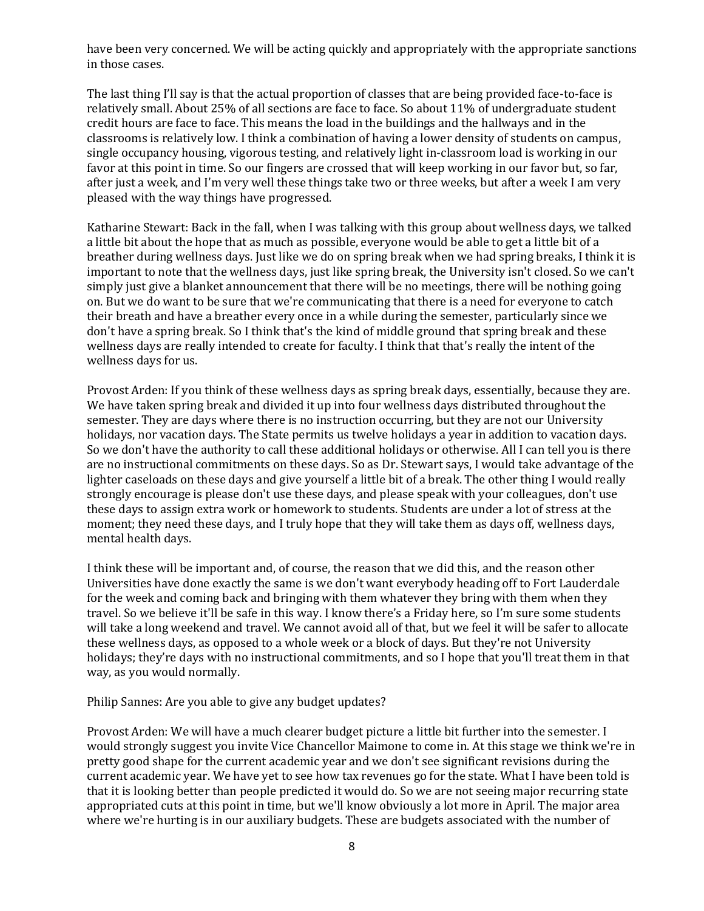have been very concerned. We will be acting quickly and appropriately with the appropriate sanctions in those cases.

The last thing I'll say is that the actual proportion of classes that are being provided face-to-face is relatively small. About 25% of all sections are face to face. So about 11% of undergraduate student credit hours are face to face. This means the load in the buildings and the hallways and in the classrooms is relatively low. I think a combination of having a lower density of students on campus, single occupancy housing, vigorous testing, and relatively light in-classroom load is working in our favor at this point in time. So our fingers are crossed that will keep working in our favor but, so far, after just a week, and I'm very well these things take two or three weeks, but after a week I am very pleased with the way things have progressed.

Katharine Stewart: Back in the fall, when I was talking with this group about wellness days, we talked a little bit about the hope that as much as possible, everyone would be able to get a little bit of a breather during wellness days. Just like we do on spring break when we had spring breaks, I think it is important to note that the wellness days, just like spring break, the University isn't closed. So we can't simply just give a blanket announcement that there will be no meetings, there will be nothing going on. But we do want to be sure that we're communicating that there is a need for everyone to catch their breath and have a breather every once in a while during the semester, particularly since we don't have a spring break. So I think that's the kind of middle ground that spring break and these wellness days are really intended to create for faculty. I think that that's really the intent of the wellness days for us.

Provost Arden: If you think of these wellness days as spring break days, essentially, because they are. We have taken spring break and divided it up into four wellness days distributed throughout the semester. They are days where there is no instruction occurring, but they are not our University holidays, nor vacation days. The State permits us twelve holidays a year in addition to vacation days. So we don't have the authority to call these additional holidays or otherwise. All I can tell you is there are no instructional commitments on these days. So as Dr. Stewart says, I would take advantage of the lighter caseloads on these days and give yourself a little bit of a break. The other thing I would really strongly encourage is please don't use these days, and please speak with your colleagues, don't use these days to assign extra work or homework to students. Students are under a lot of stress at the moment; they need these days, and I truly hope that they will take them as days off, wellness days, mental health days.

I think these will be important and, of course, the reason that we did this, and the reason other Universities have done exactly the same is we don't want everybody heading off to Fort Lauderdale for the week and coming back and bringing with them whatever they bring with them when they travel. So we believe it'll be safe in this way. I know there's a Friday here, so I'm sure some students will take a long weekend and travel. We cannot avoid all of that, but we feel it will be safer to allocate these wellness days, as opposed to a whole week or a block of days. But they're not University holidays; they're days with no instructional commitments, and so I hope that you'll treat them in that way, as you would normally.

Philip Sannes: Are you able to give any budget updates?

Provost Arden: We will have a much clearer budget picture a little bit further into the semester. I would strongly suggest you invite Vice Chancellor Maimone to come in. At this stage we think we're in pretty good shape for the current academic year and we don't see significant revisions during the current academic year. We have yet to see how tax revenues go for the state. What I have been told is that it is looking better than people predicted it would do. So we are not seeing major recurring state appropriated cuts at this point in time, but we'll know obviously a lot more in April. The major area where we're hurting is in our auxiliary budgets. These are budgets associated with the number of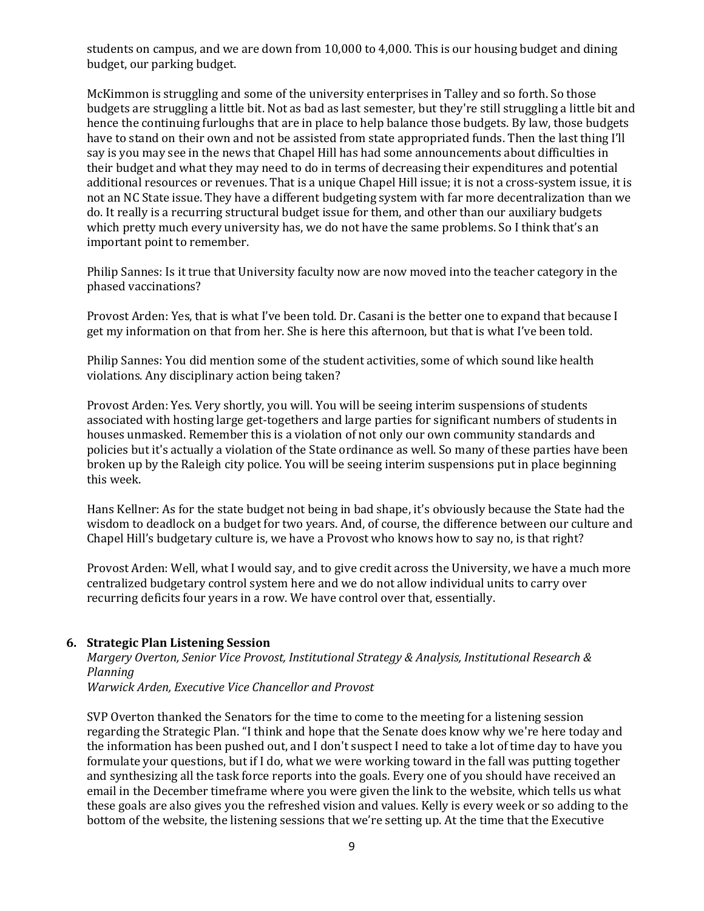students on campus, and we are down from 10,000 to 4,000. This is our housing budget and dining budget, our parking budget.

McKimmon is struggling and some of the university enterprises in Talley and so forth. So those budgets are struggling a little bit. Not as bad as last semester, but they're still struggling a little bit and hence the continuing furloughs that are in place to help balance those budgets. By law, those budgets have to stand on their own and not be assisted from state appropriated funds. Then the last thing I'll say is you may see in the news that Chapel Hill has had some announcements about difficulties in their budget and what they may need to do in terms of decreasing their expenditures and potential additional resources or revenues. That is a unique Chapel Hill issue; it is not a cross-system issue, it is not an NC State issue. They have a different budgeting system with far more decentralization than we do. It really is a recurring structural budget issue for them, and other than our auxiliary budgets which pretty much every university has, we do not have the same problems. So I think that's an important point to remember.

Philip Sannes: Is it true that University faculty now are now moved into the teacher category in the phased vaccinations?

Provost Arden: Yes, that is what I've been told. Dr. Casani is the better one to expand that because I get my information on that from her. She is here this afternoon, but that is what I've been told.

Philip Sannes: You did mention some of the student activities, some of which sound like health violations. Any disciplinary action being taken?

Provost Arden: Yes. Very shortly, you will. You will be seeing interim suspensions of students associated with hosting large get-togethers and large parties for significant numbers of students in houses unmasked. Remember this is a violation of not only our own community standards and policies but it's actually a violation of the State ordinance as well. So many of these parties have been broken up by the Raleigh city police. You will be seeing interim suspensions put in place beginning this week.

Hans Kellner: As for the state budget not being in bad shape, it's obviously because the State had the wisdom to deadlock on a budget for two years. And, of course, the difference between our culture and Chapel Hill's budgetary culture is, we have a Provost who knows how to say no, is that right?

Provost Arden: Well, what I would say, and to give credit across the University, we have a much more centralized budgetary control system here and we do not allow individual units to carry over recurring deficits four years in a row. We have control over that, essentially.

#### **6. Strategic Plan Listening Session**

*Margery Overton, Senior Vice Provost, Institutional Strategy & Analysis, Institutional Research & Planning*

*Warwick Arden, Executive Vice Chancellor and Provost* 

SVP Overton thanked the Senators for the time to come to the meeting for a listening session regarding the Strategic Plan. "I think and hope that the Senate does know why we're here today and the information has been pushed out, and I don't suspect I need to take a lot of time day to have you formulate your questions, but if I do, what we were working toward in the fall was putting together and synthesizing all the task force reports into the goals. Every one of you should have received an email in the December timeframe where you were given the link to the website, which tells us what these goals are also gives you the refreshed vision and values. Kelly is every week or so adding to the bottom of the website, the listening sessions that we're setting up. At the time that the Executive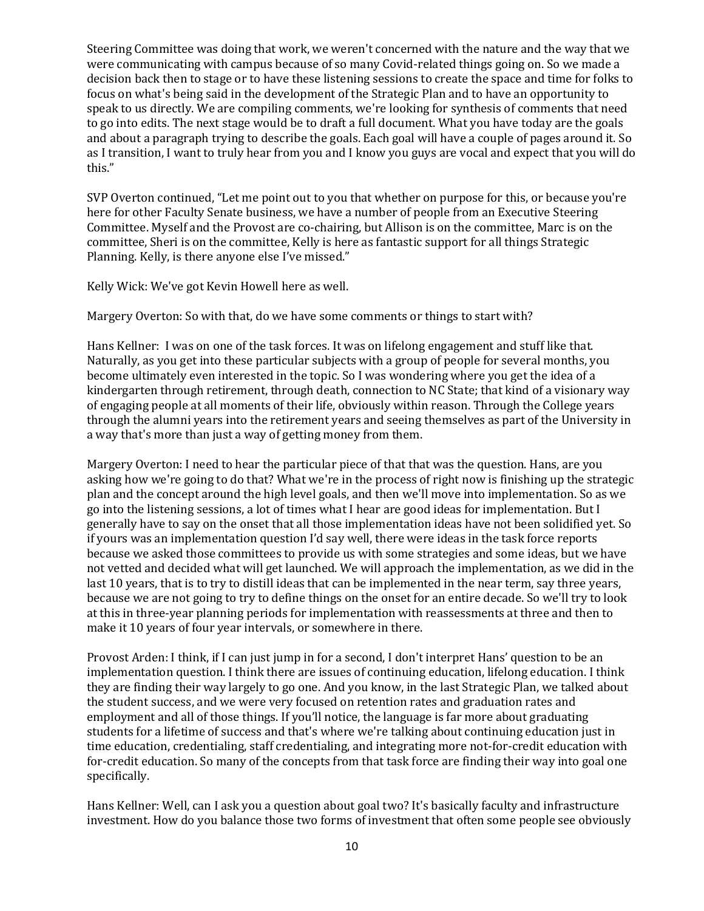Steering Committee was doing that work, we weren't concerned with the nature and the way that we were communicating with campus because of so many Covid-related things going on. So we made a decision back then to stage or to have these listening sessions to create the space and time for folks to focus on what's being said in the development of the Strategic Plan and to have an opportunity to speak to us directly. We are compiling comments, we're looking for synthesis of comments that need to go into edits. The next stage would be to draft a full document. What you have today are the goals and about a paragraph trying to describe the goals. Each goal will have a couple of pages around it. So as I transition, I want to truly hear from you and I know you guys are vocal and expect that you will do this."

SVP Overton continued, "Let me point out to you that whether on purpose for this, or because you're here for other Faculty Senate business, we have a number of people from an Executive Steering Committee. Myself and the Provost are co-chairing, but Allison is on the committee, Marc is on the committee, Sheri is on the committee, Kelly is here as fantastic support for all things Strategic Planning. Kelly, is there anyone else I've missed."

Kelly Wick: We've got Kevin Howell here as well.

Margery Overton: So with that, do we have some comments or things to start with?

Hans Kellner: I was on one of the task forces. It was on lifelong engagement and stuff like that. Naturally, as you get into these particular subjects with a group of people for several months, you become ultimately even interested in the topic. So I was wondering where you get the idea of a kindergarten through retirement, through death, connection to NC State; that kind of a visionary way of engaging people at all moments of their life, obviously within reason. Through the College years through the alumni years into the retirement years and seeing themselves as part of the University in a way that's more than just a way of getting money from them.

Margery Overton: I need to hear the particular piece of that that was the question. Hans, are you asking how we're going to do that? What we're in the process of right now is finishing up the strategic plan and the concept around the high level goals, and then we'll move into implementation. So as we go into the listening sessions, a lot of times what I hear are good ideas for implementation. But I generally have to say on the onset that all those implementation ideas have not been solidified yet. So if yours was an implementation question I'd say well, there were ideas in the task force reports because we asked those committees to provide us with some strategies and some ideas, but we have not vetted and decided what will get launched. We will approach the implementation, as we did in the last 10 years, that is to try to distill ideas that can be implemented in the near term, say three years, because we are not going to try to define things on the onset for an entire decade. So we'll try to look at this in three-year planning periods for implementation with reassessments at three and then to make it 10 years of four year intervals, or somewhere in there.

Provost Arden: I think, if I can just jump in for a second, I don't interpret Hans' question to be an implementation question. I think there are issues of continuing education, lifelong education. I think they are finding their way largely to go one. And you know, in the last Strategic Plan, we talked about the student success, and we were very focused on retention rates and graduation rates and employment and all of those things. If you'll notice, the language is far more about graduating students for a lifetime of success and that's where we're talking about continuing education just in time education, credentialing, staff credentialing, and integrating more not-for-credit education with for-credit education. So many of the concepts from that task force are finding their way into goal one specifically.

Hans Kellner: Well, can I ask you a question about goal two? It's basically faculty and infrastructure investment. How do you balance those two forms of investment that often some people see obviously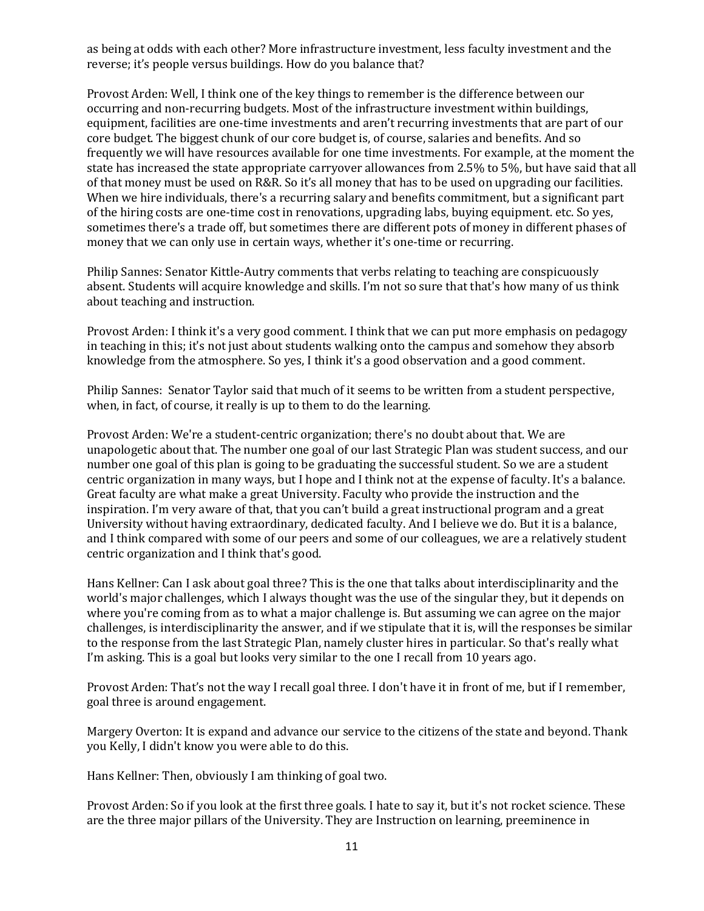as being at odds with each other? More infrastructure investment, less faculty investment and the reverse; it's people versus buildings. How do you balance that?

Provost Arden: Well, I think one of the key things to remember is the difference between our occurring and non-recurring budgets. Most of the infrastructure investment within buildings, equipment, facilities are one-time investments and aren't recurring investments that are part of our core budget. The biggest chunk of our core budget is, of course, salaries and benefits. And so frequently we will have resources available for one time investments. For example, at the moment the state has increased the state appropriate carryover allowances from 2.5% to 5%, but have said that all of that money must be used on R&R. So it's all money that has to be used on upgrading our facilities. When we hire individuals, there's a recurring salary and benefits commitment, but a significant part of the hiring costs are one-time cost in renovations, upgrading labs, buying equipment. etc. So yes, sometimes there's a trade off, but sometimes there are different pots of money in different phases of money that we can only use in certain ways, whether it's one-time or recurring.

Philip Sannes: Senator Kittle-Autry comments that verbs relating to teaching are conspicuously absent. Students will acquire knowledge and skills. I'm not so sure that that's how many of us think about teaching and instruction.

Provost Arden: I think it's a very good comment. I think that we can put more emphasis on pedagogy in teaching in this; it's not just about students walking onto the campus and somehow they absorb knowledge from the atmosphere. So yes, I think it's a good observation and a good comment.

Philip Sannes: Senator Taylor said that much of it seems to be written from a student perspective, when, in fact, of course, it really is up to them to do the learning.

Provost Arden: We're a student-centric organization; there's no doubt about that. We are unapologetic about that. The number one goal of our last Strategic Plan was student success, and our number one goal of this plan is going to be graduating the successful student. So we are a student centric organization in many ways, but I hope and I think not at the expense of faculty. It's a balance. Great faculty are what make a great University. Faculty who provide the instruction and the inspiration. I'm very aware of that, that you can't build a great instructional program and a great University without having extraordinary, dedicated faculty. And I believe we do. But it is a balance, and I think compared with some of our peers and some of our colleagues, we are a relatively student centric organization and I think that's good.

Hans Kellner: Can I ask about goal three? This is the one that talks about interdisciplinarity and the world's major challenges, which I always thought was the use of the singular they, but it depends on where you're coming from as to what a major challenge is. But assuming we can agree on the major challenges, is interdisciplinarity the answer, and if we stipulate that it is, will the responses be similar to the response from the last Strategic Plan, namely cluster hires in particular. So that's really what I'm asking. This is a goal but looks very similar to the one I recall from 10 years ago.

Provost Arden: That's not the way I recall goal three. I don't have it in front of me, but if I remember, goal three is around engagement.

Margery Overton: It is expand and advance our service to the citizens of the state and beyond. Thank you Kelly, I didn't know you were able to do this.

Hans Kellner: Then, obviously I am thinking of goal two.

Provost Arden: So if you look at the first three goals. I hate to say it, but it's not rocket science. These are the three major pillars of the University. They are Instruction on learning, preeminence in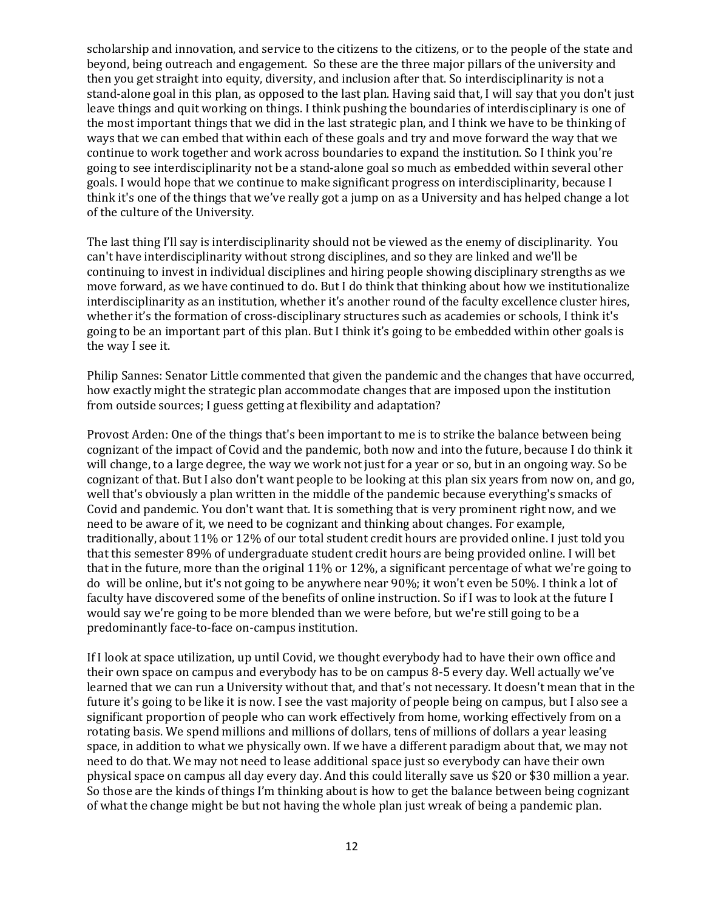scholarship and innovation, and service to the citizens to the citizens, or to the people of the state and beyond, being outreach and engagement. So these are the three major pillars of the university and then you get straight into equity, diversity, and inclusion after that. So interdisciplinarity is not a stand-alone goal in this plan, as opposed to the last plan. Having said that, I will say that you don't just leave things and quit working on things. I think pushing the boundaries of interdisciplinary is one of the most important things that we did in the last strategic plan, and I think we have to be thinking of ways that we can embed that within each of these goals and try and move forward the way that we continue to work together and work across boundaries to expand the institution. So I think you're going to see interdisciplinarity not be a stand-alone goal so much as embedded within several other goals. I would hope that we continue to make significant progress on interdisciplinarity, because I think it's one of the things that we've really got a jump on as a University and has helped change a lot of the culture of the University.

The last thing I'll say is interdisciplinarity should not be viewed as the enemy of disciplinarity. You can't have interdisciplinarity without strong disciplines, and so they are linked and we'll be continuing to invest in individual disciplines and hiring people showing disciplinary strengths as we move forward, as we have continued to do. But I do think that thinking about how we institutionalize interdisciplinarity as an institution, whether it's another round of the faculty excellence cluster hires, whether it's the formation of cross-disciplinary structures such as academies or schools, I think it's going to be an important part of this plan. But I think it's going to be embedded within other goals is the way I see it.

Philip Sannes: Senator Little commented that given the pandemic and the changes that have occurred, how exactly might the strategic plan accommodate changes that are imposed upon the institution from outside sources; I guess getting at flexibility and adaptation?

Provost Arden: One of the things that's been important to me is to strike the balance between being cognizant of the impact of Covid and the pandemic, both now and into the future, because I do think it will change, to a large degree, the way we work not just for a year or so, but in an ongoing way. So be cognizant of that. But I also don't want people to be looking at this plan six years from now on, and go, well that's obviously a plan written in the middle of the pandemic because everything's smacks of Covid and pandemic. You don't want that. It is something that is very prominent right now, and we need to be aware of it, we need to be cognizant and thinking about changes. For example, traditionally, about 11% or 12% of our total student credit hours are provided online. I just told you that this semester 89% of undergraduate student credit hours are being provided online. I will bet that in the future, more than the original 11% or 12%, a significant percentage of what we're going to do will be online, but it's not going to be anywhere near 90%; it won't even be 50%. I think a lot of faculty have discovered some of the benefits of online instruction. So if I was to look at the future I would say we're going to be more blended than we were before, but we're still going to be a predominantly face-to-face on-campus institution.

If I look at space utilization, up until Covid, we thought everybody had to have their own office and their own space on campus and everybody has to be on campus 8-5 every day. Well actually we've learned that we can run a University without that, and that's not necessary. It doesn't mean that in the future it's going to be like it is now. I see the vast majority of people being on campus, but I also see a significant proportion of people who can work effectively from home, working effectively from on a rotating basis. We spend millions and millions of dollars, tens of millions of dollars a year leasing space, in addition to what we physically own. If we have a different paradigm about that, we may not need to do that. We may not need to lease additional space just so everybody can have their own physical space on campus all day every day. And this could literally save us \$20 or \$30 million a year. So those are the kinds of things I'm thinking about is how to get the balance between being cognizant of what the change might be but not having the whole plan just wreak of being a pandemic plan.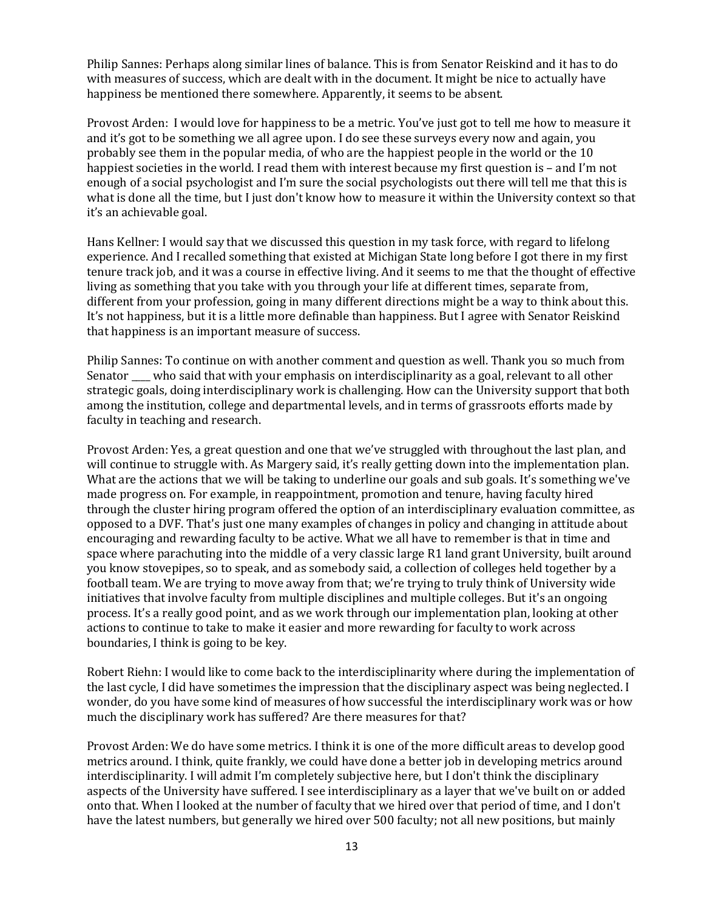Philip Sannes: Perhaps along similar lines of balance. This is from Senator Reiskind and it has to do with measures of success, which are dealt with in the document. It might be nice to actually have happiness be mentioned there somewhere. Apparently, it seems to be absent.

Provost Arden: I would love for happiness to be a metric. You've just got to tell me how to measure it and it's got to be something we all agree upon. I do see these surveys every now and again, you probably see them in the popular media, of who are the happiest people in the world or the 10 happiest societies in the world. I read them with interest because my first question is - and I'm not enough of a social psychologist and I'm sure the social psychologists out there will tell me that this is what is done all the time, but I just don't know how to measure it within the University context so that it's an achievable goal.

Hans Kellner: I would say that we discussed this question in my task force, with regard to lifelong experience. And I recalled something that existed at Michigan State long before I got there in my first tenure track job, and it was a course in effective living. And it seems to me that the thought of effective living as something that you take with you through your life at different times, separate from, different from your profession, going in many different directions might be a way to think about this. It's not happiness, but it is a little more definable than happiness. But I agree with Senator Reiskind that happiness is an important measure of success.

Philip Sannes: To continue on with another comment and question as well. Thank you so much from Senator who said that with your emphasis on interdisciplinarity as a goal, relevant to all other strategic goals, doing interdisciplinary work is challenging. How can the University support that both among the institution, college and departmental levels, and in terms of grassroots efforts made by faculty in teaching and research.

Provost Arden: Yes, a great question and one that we've struggled with throughout the last plan, and will continue to struggle with. As Margery said, it's really getting down into the implementation plan. What are the actions that we will be taking to underline our goals and sub goals. It's something we've made progress on. For example, in reappointment, promotion and tenure, having faculty hired through the cluster hiring program offered the option of an interdisciplinary evaluation committee, as opposed to a DVF. That's just one many examples of changes in policy and changing in attitude about encouraging and rewarding faculty to be active. What we all have to remember is that in time and space where parachuting into the middle of a very classic large R1 land grant University, built around you know stovepipes, so to speak, and as somebody said, a collection of colleges held together by a football team. We are trying to move away from that; we're trying to truly think of University wide initiatives that involve faculty from multiple disciplines and multiple colleges. But it's an ongoing process. It's a really good point, and as we work through our implementation plan, looking at other actions to continue to take to make it easier and more rewarding for faculty to work across boundaries, I think is going to be key.

Robert Riehn: I would like to come back to the interdisciplinarity where during the implementation of the last cycle, I did have sometimes the impression that the disciplinary aspect was being neglected. I wonder, do you have some kind of measures of how successful the interdisciplinary work was or how much the disciplinary work has suffered? Are there measures for that?

Provost Arden: We do have some metrics. I think it is one of the more difficult areas to develop good metrics around. I think, quite frankly, we could have done a better job in developing metrics around interdisciplinarity. I will admit I'm completely subjective here, but I don't think the disciplinary aspects of the University have suffered. I see interdisciplinary as a layer that we've built on or added onto that. When I looked at the number of faculty that we hired over that period of time, and I don't have the latest numbers, but generally we hired over 500 faculty; not all new positions, but mainly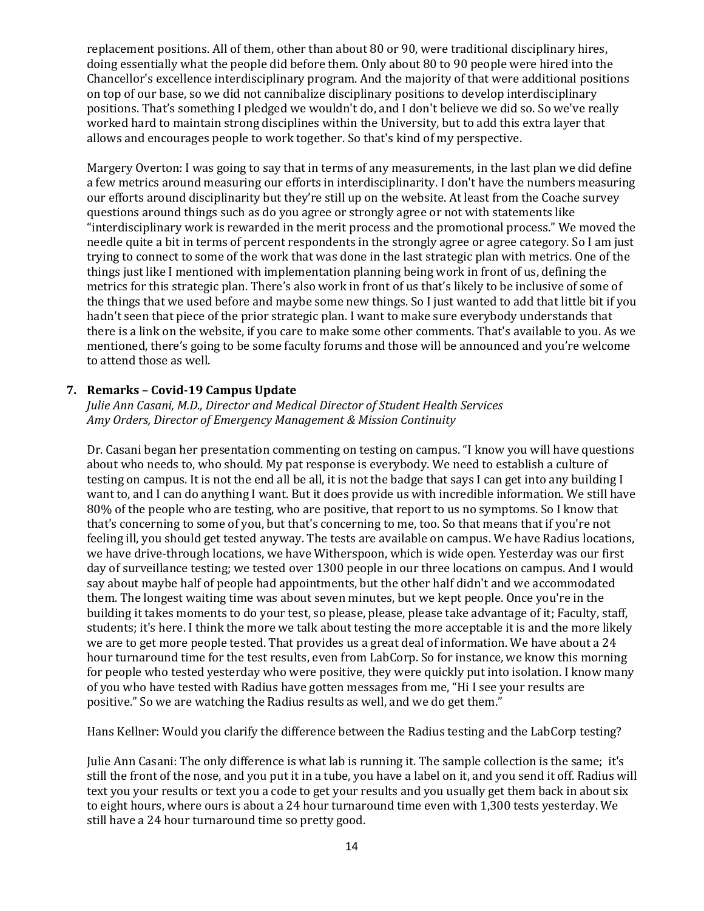replacement positions. All of them, other than about 80 or 90, were traditional disciplinary hires, doing essentially what the people did before them. Only about 80 to 90 people were hired into the Chancellor's excellence interdisciplinary program. And the majority of that were additional positions on top of our base, so we did not cannibalize disciplinary positions to develop interdisciplinary positions. That's something I pledged we wouldn't do, and I don't believe we did so. So we've really worked hard to maintain strong disciplines within the University, but to add this extra layer that allows and encourages people to work together. So that's kind of my perspective.

Margery Overton: I was going to say that in terms of any measurements, in the last plan we did define a few metrics around measuring our efforts in interdisciplinarity. I don't have the numbers measuring our efforts around disciplinarity but they're still up on the website. At least from the Coache survey questions around things such as do you agree or strongly agree or not with statements like "interdisciplinary work is rewarded in the merit process and the promotional process." We moved the needle quite a bit in terms of percent respondents in the strongly agree or agree category. So I am just trying to connect to some of the work that was done in the last strategic plan with metrics. One of the things just like I mentioned with implementation planning being work in front of us, defining the metrics for this strategic plan. There's also work in front of us that's likely to be inclusive of some of the things that we used before and maybe some new things. So I just wanted to add that little bit if you hadn't seen that piece of the prior strategic plan. I want to make sure everybody understands that there is a link on the website, if you care to make some other comments. That's available to you. As we mentioned, there's going to be some faculty forums and those will be announced and you're welcome to attend those as well.

### **7. Remarks – Covid-19 Campus Update**

*Julie Ann Casani, M.D., Director and Medical Director of Student Health Services Amy Orders, Director of Emergency Management & Mission Continuity* 

Dr. Casani began her presentation commenting on testing on campus. "I know you will have questions about who needs to, who should. My pat response is everybody. We need to establish a culture of testing on campus. It is not the end all be all, it is not the badge that says I can get into any building I want to, and I can do anything I want. But it does provide us with incredible information. We still have 80% of the people who are testing, who are positive, that report to us no symptoms. So I know that that's concerning to some of you, but that's concerning to me, too. So that means that if you're not feeling ill, you should get tested anyway. The tests are available on campus. We have Radius locations, we have drive-through locations, we have Witherspoon, which is wide open. Yesterday was our first day of surveillance testing; we tested over 1300 people in our three locations on campus. And I would say about maybe half of people had appointments, but the other half didn't and we accommodated them. The longest waiting time was about seven minutes, but we kept people. Once you're in the building it takes moments to do your test, so please, please, please take advantage of it; Faculty, staff, students; it's here. I think the more we talk about testing the more acceptable it is and the more likely we are to get more people tested. That provides us a great deal of information. We have about a 24 hour turnaround time for the test results, even from LabCorp. So for instance, we know this morning for people who tested yesterday who were positive, they were quickly put into isolation. I know many of you who have tested with Radius have gotten messages from me, "Hi I see your results are positive." So we are watching the Radius results as well, and we do get them."

Hans Kellner: Would you clarify the difference between the Radius testing and the LabCorp testing?

Julie Ann Casani: The only difference is what lab is running it. The sample collection is the same; it's still the front of the nose, and you put it in a tube, you have a label on it, and you send it off. Radius will text you your results or text you a code to get your results and you usually get them back in about six to eight hours, where ours is about a 24 hour turnaround time even with 1,300 tests yesterday. We still have a 24 hour turnaround time so pretty good.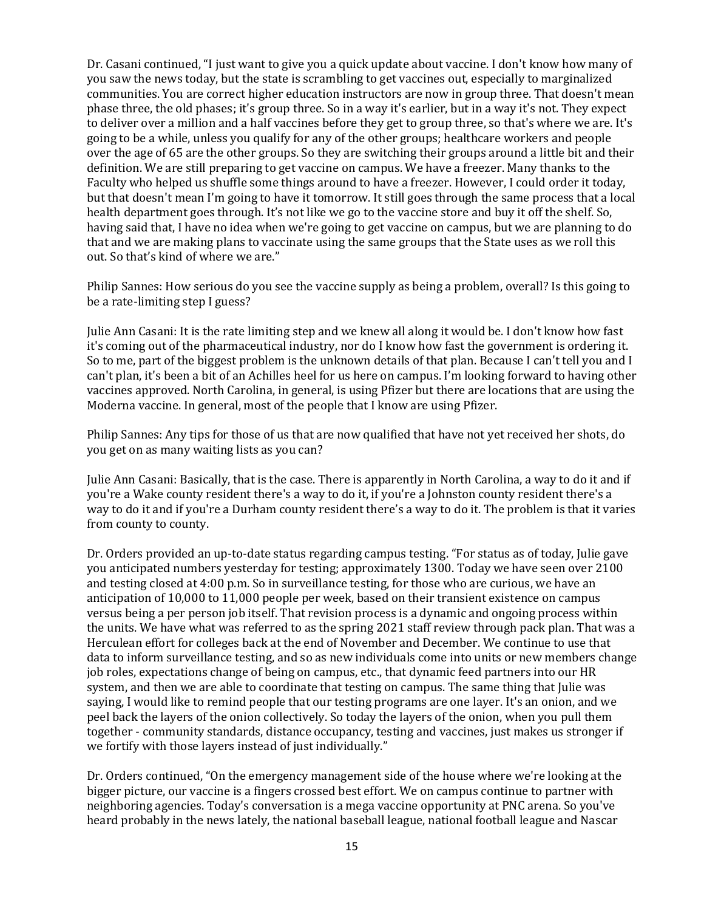Dr. Casani continued, "I just want to give you a quick update about vaccine. I don't know how many of you saw the news today, but the state is scrambling to get vaccines out, especially to marginalized communities. You are correct higher education instructors are now in group three. That doesn't mean phase three, the old phases; it's group three. So in a way it's earlier, but in a way it's not. They expect to deliver over a million and a half vaccines before they get to group three, so that's where we are. It's going to be a while, unless you qualify for any of the other groups; healthcare workers and people over the age of 65 are the other groups. So they are switching their groups around a little bit and their definition. We are still preparing to get vaccine on campus. We have a freezer. Many thanks to the Faculty who helped us shuffle some things around to have a freezer. However, I could order it today, but that doesn't mean I'm going to have it tomorrow. It still goes through the same process that a local health department goes through. It's not like we go to the vaccine store and buy it off the shelf. So, having said that, I have no idea when we're going to get vaccine on campus, but we are planning to do that and we are making plans to vaccinate using the same groups that the State uses as we roll this out. So that's kind of where we are."

Philip Sannes: How serious do you see the vaccine supply as being a problem, overall? Is this going to be a rate-limiting step I guess?

Julie Ann Casani: It is the rate limiting step and we knew all along it would be. I don't know how fast it's coming out of the pharmaceutical industry, nor do I know how fast the government is ordering it. So to me, part of the biggest problem is the unknown details of that plan. Because I can't tell you and I can't plan, it's been a bit of an Achilles heel for us here on campus. I'm looking forward to having other vaccines approved. North Carolina, in general, is using Pfizer but there are locations that are using the Moderna vaccine. In general, most of the people that I know are using Pfizer.

Philip Sannes: Any tips for those of us that are now qualified that have not yet received her shots, do you get on as many waiting lists as you can?

Julie Ann Casani: Basically, that is the case. There is apparently in North Carolina, a way to do it and if you're a Wake county resident there's a way to do it, if you're a Johnston county resident there's a way to do it and if you're a Durham county resident there's a way to do it. The problem is that it varies from county to county.

Dr. Orders provided an up-to-date status regarding campus testing. "For status as of today, Julie gave you anticipated numbers yesterday for testing; approximately 1300. Today we have seen over 2100 and testing closed at 4:00 p.m. So in surveillance testing, for those who are curious, we have an anticipation of 10,000 to 11,000 people per week, based on their transient existence on campus versus being a per person job itself. That revision process is a dynamic and ongoing process within the units. We have what was referred to as the spring 2021 staff review through pack plan. That was a Herculean effort for colleges back at the end of November and December. We continue to use that data to inform surveillance testing, and so as new individuals come into units or new members change job roles, expectations change of being on campus, etc., that dynamic feed partners into our HR system, and then we are able to coordinate that testing on campus. The same thing that Julie was saying, I would like to remind people that our testing programs are one layer. It's an onion, and we peel back the layers of the onion collectively. So today the layers of the onion, when you pull them together - community standards, distance occupancy, testing and vaccines, just makes us stronger if we fortify with those layers instead of just individually."

Dr. Orders continued, "On the emergency management side of the house where we're looking at the bigger picture, our vaccine is a fingers crossed best effort. We on campus continue to partner with neighboring agencies. Today's conversation is a mega vaccine opportunity at PNC arena. So you've heard probably in the news lately, the national baseball league, national football league and Nascar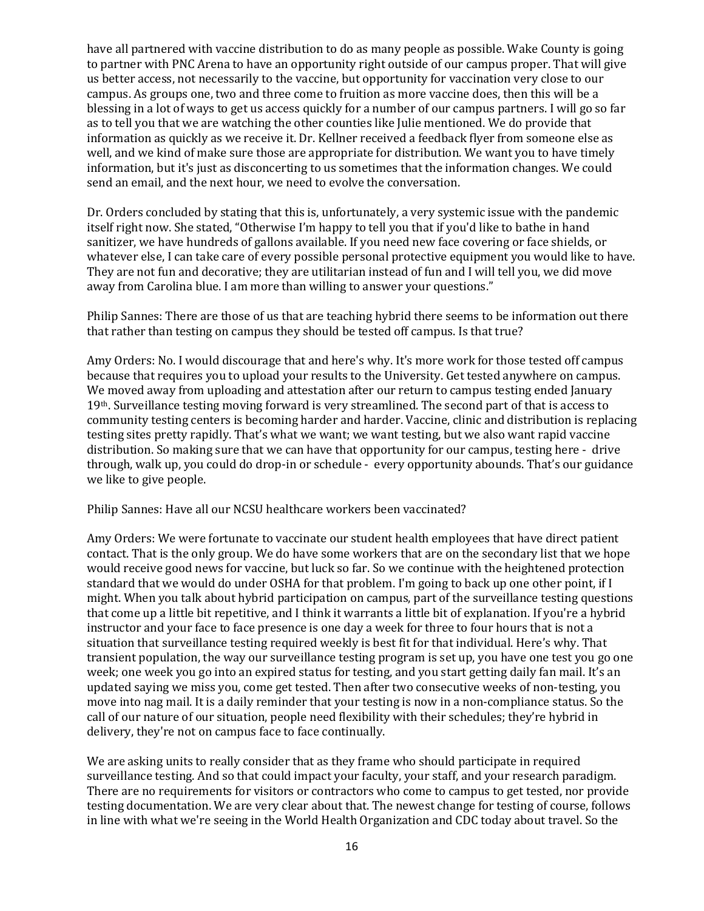have all partnered with vaccine distribution to do as many people as possible. Wake County is going to partner with PNC Arena to have an opportunity right outside of our campus proper. That will give us better access, not necessarily to the vaccine, but opportunity for vaccination very close to our campus. As groups one, two and three come to fruition as more vaccine does, then this will be a blessing in a lot of ways to get us access quickly for a number of our campus partners. I will go so far as to tell you that we are watching the other counties like Julie mentioned. We do provide that information as quickly as we receive it. Dr. Kellner received a feedback flyer from someone else as well, and we kind of make sure those are appropriate for distribution. We want you to have timely information, but it's just as disconcerting to us sometimes that the information changes. We could send an email, and the next hour, we need to evolve the conversation.

Dr. Orders concluded by stating that this is, unfortunately, a very systemic issue with the pandemic itself right now. She stated, "Otherwise I'm happy to tell you that if you'd like to bathe in hand sanitizer, we have hundreds of gallons available. If you need new face covering or face shields, or whatever else, I can take care of every possible personal protective equipment you would like to have. They are not fun and decorative; they are utilitarian instead of fun and I will tell you, we did move away from Carolina blue. I am more than willing to answer your questions."

Philip Sannes: There are those of us that are teaching hybrid there seems to be information out there that rather than testing on campus they should be tested off campus. Is that true?

Amy Orders: No. I would discourage that and here's why. It's more work for those tested off campus because that requires you to upload your results to the University. Get tested anywhere on campus. We moved away from uploading and attestation after our return to campus testing ended January 19<sup>th</sup>. Surveillance testing moving forward is very streamlined. The second part of that is access to community testing centers is becoming harder and harder. Vaccine, clinic and distribution is replacing testing sites pretty rapidly. That's what we want; we want testing, but we also want rapid vaccine distribution. So making sure that we can have that opportunity for our campus, testing here - drive through, walk up, you could do drop-in or schedule - every opportunity abounds. That's our guidance we like to give people.

Philip Sannes: Have all our NCSU healthcare workers been vaccinated?

Amy Orders: We were fortunate to vaccinate our student health employees that have direct patient contact. That is the only group. We do have some workers that are on the secondary list that we hope would receive good news for vaccine, but luck so far. So we continue with the heightened protection standard that we would do under OSHA for that problem. I'm going to back up one other point, if I might. When you talk about hybrid participation on campus, part of the surveillance testing questions that come up a little bit repetitive, and I think it warrants a little bit of explanation. If you're a hybrid instructor and your face to face presence is one day a week for three to four hours that is not a situation that surveillance testing required weekly is best fit for that individual. Here's why. That transient population, the way our surveillance testing program is set up, you have one test you go one week; one week you go into an expired status for testing, and you start getting daily fan mail. It's an updated saying we miss you, come get tested. Then after two consecutive weeks of non-testing, you move into nag mail. It is a daily reminder that your testing is now in a non-compliance status. So the call of our nature of our situation, people need flexibility with their schedules; they're hybrid in delivery, they're not on campus face to face continually.

We are asking units to really consider that as they frame who should participate in required surveillance testing. And so that could impact your faculty, your staff, and your research paradigm. There are no requirements for visitors or contractors who come to campus to get tested, nor provide testing documentation. We are very clear about that. The newest change for testing of course, follows in line with what we're seeing in the World Health Organization and CDC today about travel. So the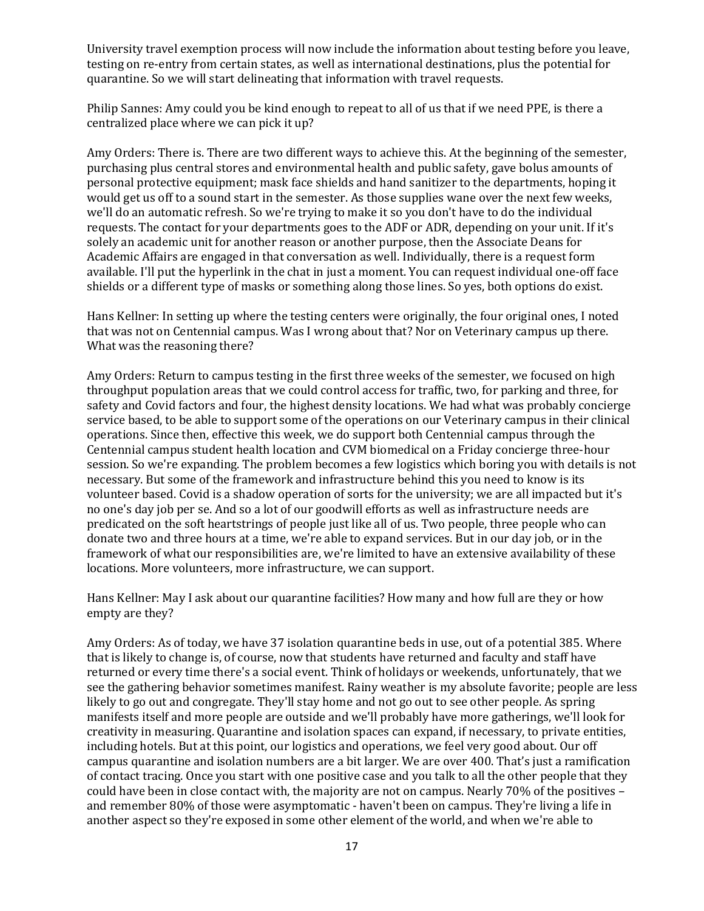University travel exemption process will now include the information about testing before you leave, testing on re-entry from certain states, as well as international destinations, plus the potential for quarantine. So we will start delineating that information with travel requests.

Philip Sannes: Amy could you be kind enough to repeat to all of us that if we need PPE, is there a centralized place where we can pick it up?

Amy Orders: There is. There are two different ways to achieve this. At the beginning of the semester, purchasing plus central stores and environmental health and public safety, gave bolus amounts of personal protective equipment; mask face shields and hand sanitizer to the departments, hoping it would get us off to a sound start in the semester. As those supplies wane over the next few weeks, we'll do an automatic refresh. So we're trying to make it so you don't have to do the individual requests. The contact for your departments goes to the ADF or ADR, depending on your unit. If it's solely an academic unit for another reason or another purpose, then the Associate Deans for Academic Affairs are engaged in that conversation as well. Individually, there is a request form available. I'll put the hyperlink in the chat in just a moment. You can request individual one-off face shields or a different type of masks or something along those lines. So yes, both options do exist.

Hans Kellner: In setting up where the testing centers were originally, the four original ones, I noted that was not on Centennial campus. Was I wrong about that? Nor on Veterinary campus up there. What was the reasoning there?

Amy Orders: Return to campus testing in the first three weeks of the semester, we focused on high throughput population areas that we could control access for traffic, two, for parking and three, for safety and Covid factors and four, the highest density locations. We had what was probably concierge service based, to be able to support some of the operations on our Veterinary campus in their clinical operations. Since then, effective this week, we do support both Centennial campus through the Centennial campus student health location and CVM biomedical on a Friday concierge three-hour session. So we're expanding. The problem becomes a few logistics which boring you with details is not necessary. But some of the framework and infrastructure behind this you need to know is its volunteer based. Covid is a shadow operation of sorts for the university; we are all impacted but it's no one's day job per se. And so a lot of our goodwill efforts as well as infrastructure needs are predicated on the soft heartstrings of people just like all of us. Two people, three people who can donate two and three hours at a time, we're able to expand services. But in our day job, or in the framework of what our responsibilities are, we're limited to have an extensive availability of these locations. More volunteers, more infrastructure, we can support.

Hans Kellner: May I ask about our quarantine facilities? How many and how full are they or how empty are they?

Amy Orders: As of today, we have 37 isolation quarantine beds in use, out of a potential 385. Where that is likely to change is, of course, now that students have returned and faculty and staff have returned or every time there's a social event. Think of holidays or weekends, unfortunately, that we see the gathering behavior sometimes manifest. Rainy weather is my absolute favorite; people are less likely to go out and congregate. They'll stay home and not go out to see other people. As spring manifests itself and more people are outside and we'll probably have more gatherings, we'll look for creativity in measuring. Quarantine and isolation spaces can expand, if necessary, to private entities, including hotels. But at this point, our logistics and operations, we feel very good about. Our off campus quarantine and isolation numbers are a bit larger. We are over 400. That's just a ramification of contact tracing. Once you start with one positive case and you talk to all the other people that they could have been in close contact with, the majority are not on campus. Nearly 70% of the positives – and remember 80% of those were asymptomatic - haven't been on campus. They're living a life in another aspect so they're exposed in some other element of the world, and when we're able to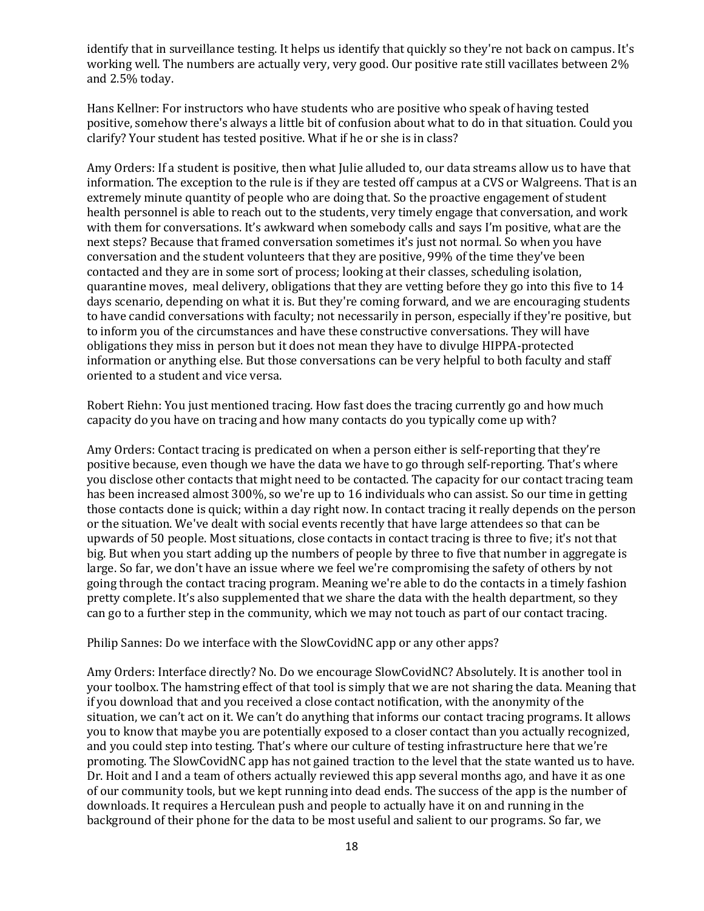identify that in surveillance testing. It helps us identify that quickly so they're not back on campus. It's working well. The numbers are actually very, very good. Our positive rate still vacillates between 2% and 2.5% today.

Hans Kellner: For instructors who have students who are positive who speak of having tested positive, somehow there's always a little bit of confusion about what to do in that situation. Could you clarify? Your student has tested positive. What if he or she is in class?

Amy Orders: If a student is positive, then what Julie alluded to, our data streams allow us to have that information. The exception to the rule is if they are tested off campus at a CVS or Walgreens. That is an extremely minute quantity of people who are doing that. So the proactive engagement of student health personnel is able to reach out to the students, very timely engage that conversation, and work with them for conversations. It's awkward when somebody calls and says I'm positive, what are the next steps? Because that framed conversation sometimes it's just not normal. So when you have conversation and the student volunteers that they are positive, 99% of the time they've been contacted and they are in some sort of process; looking at their classes, scheduling isolation, quarantine moves, meal delivery, obligations that they are vetting before they go into this five to 14 days scenario, depending on what it is. But they're coming forward, and we are encouraging students to have candid conversations with faculty; not necessarily in person, especially if they're positive, but to inform you of the circumstances and have these constructive conversations. They will have obligations they miss in person but it does not mean they have to divulge HIPPA-protected information or anything else. But those conversations can be very helpful to both faculty and staff oriented to a student and vice versa.

Robert Riehn: You just mentioned tracing. How fast does the tracing currently go and how much capacity do you have on tracing and how many contacts do you typically come up with?

Amy Orders: Contact tracing is predicated on when a person either is self-reporting that they're positive because, even though we have the data we have to go through self-reporting. That's where you disclose other contacts that might need to be contacted. The capacity for our contact tracing team has been increased almost 300%, so we're up to 16 individuals who can assist. So our time in getting those contacts done is quick; within a day right now. In contact tracing it really depends on the person or the situation. We've dealt with social events recently that have large attendees so that can be upwards of 50 people. Most situations, close contacts in contact tracing is three to five; it's not that big. But when you start adding up the numbers of people by three to five that number in aggregate is large. So far, we don't have an issue where we feel we're compromising the safety of others by not going through the contact tracing program. Meaning we're able to do the contacts in a timely fashion pretty complete. It's also supplemented that we share the data with the health department, so they can go to a further step in the community, which we may not touch as part of our contact tracing.

Philip Sannes: Do we interface with the SlowCovidNC app or any other apps?

Amy Orders: Interface directly? No. Do we encourage SlowCovidNC? Absolutely. It is another tool in your toolbox. The hamstring effect of that tool is simply that we are not sharing the data. Meaning that if you download that and you received a close contact notification, with the anonymity of the situation, we can't act on it. We can't do anything that informs our contact tracing programs. It allows you to know that maybe you are potentially exposed to a closer contact than you actually recognized, and you could step into testing. That's where our culture of testing infrastructure here that we're promoting. The SlowCovidNC app has not gained traction to the level that the state wanted us to have. Dr. Hoit and I and a team of others actually reviewed this app several months ago, and have it as one of our community tools, but we kept running into dead ends. The success of the app is the number of downloads. It requires a Herculean push and people to actually have it on and running in the background of their phone for the data to be most useful and salient to our programs. So far, we